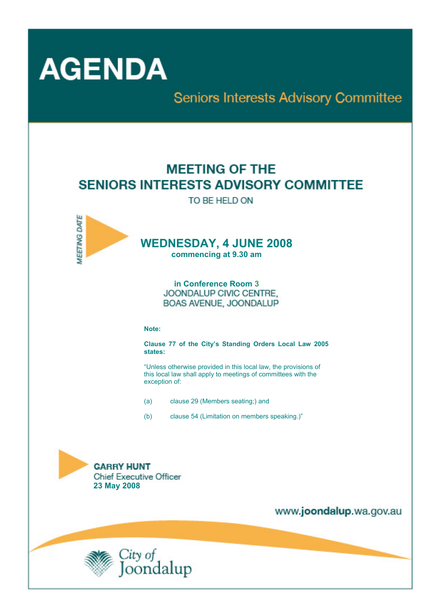

**Seniors Interests Advisory Committee** 

# **MEETING OF THE SENIORS INTERESTS ADVISORY COMMITTEE**

TO BE HELD ON



# **WEDNESDAY, 4 JUNE 2008**

**commencing at 9.30 am** 

**in Conference Room 3** JOONDALUP CIVIC CENTRE. BOAS AVENUE, JOONDALUP

#### **Note:**

**Clause 77 of the City's Standing Orders Local Law 2005 states:** 

"Unless otherwise provided in this local law, the provisions of this local law shall apply to meetings of committees with the exception of:

- (a) clause 29 (Members seating;) and
- (b) clause 54 (Limitation on members speaking.)"



www.joondalup.wa.gov.au

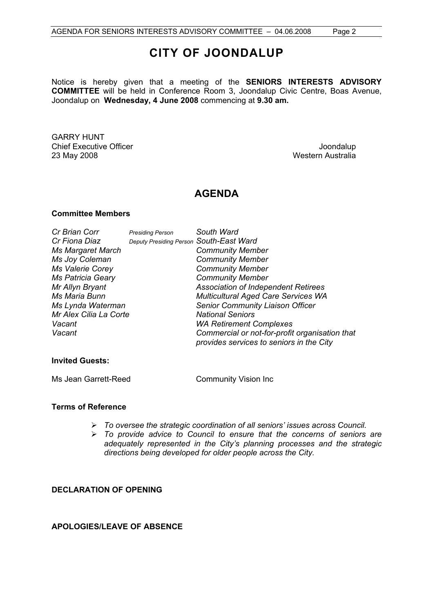## **CITY OF JOONDALUP**

Notice is hereby given that a meeting of the **SENIORS INTERESTS ADVISORY COMMITTEE** will be held in Conference Room 3, Joondalup Civic Centre, Boas Avenue, Joondalup on **Wednesday, 4 June 2008** commencing at **9.30 am.** 

GARRY HUNT **Chief Executive Officer Chief Executive Officer Joseph According to the Chief Executive Officer Joondalup** 23 May 2008 Western Australia

## **AGENDA**

#### **Committee Members**

| Cr Brian Corr            | <b>Presiding Person</b>                 | South Ward                                                                                 |
|--------------------------|-----------------------------------------|--------------------------------------------------------------------------------------------|
| Cr Fiona Diaz            | Deputy Presiding Person South-East Ward |                                                                                            |
| <b>Ms Margaret March</b> |                                         | <b>Community Member</b>                                                                    |
| Ms Joy Coleman           |                                         | <b>Community Member</b>                                                                    |
| <b>Ms Valerie Corey</b>  |                                         | <b>Community Member</b>                                                                    |
| <b>Ms Patricia Geary</b> |                                         | <b>Community Member</b>                                                                    |
| Mr Allyn Bryant          |                                         | <b>Association of Independent Retirees</b>                                                 |
| Ms Maria Bunn            |                                         | <b>Multicultural Aged Care Services WA</b>                                                 |
| Ms Lynda Waterman        |                                         | <b>Senior Community Liaison Officer</b>                                                    |
| Mr Alex Cilia La Corte   |                                         | <b>National Seniors</b>                                                                    |
| Vacant                   |                                         | <b>WA Retirement Complexes</b>                                                             |
| Vacant                   |                                         | Commercial or not-for-profit organisation that<br>provides services to seniors in the City |
|                          |                                         |                                                                                            |

#### **Invited Guests:**

Ms Jean Garrett-Reed Community Vision Inc

#### **Terms of Reference**

- ¾ *To oversee the strategic coordination of all seniors' issues across Council.*
- ¾ *To provide advice to Council to ensure that the concerns of seniors are adequately represented in the City's planning processes and the strategic directions being developed for older people across the City.*

#### **DECLARATION OF OPENING**

#### **APOLOGIES/LEAVE OF ABSENCE**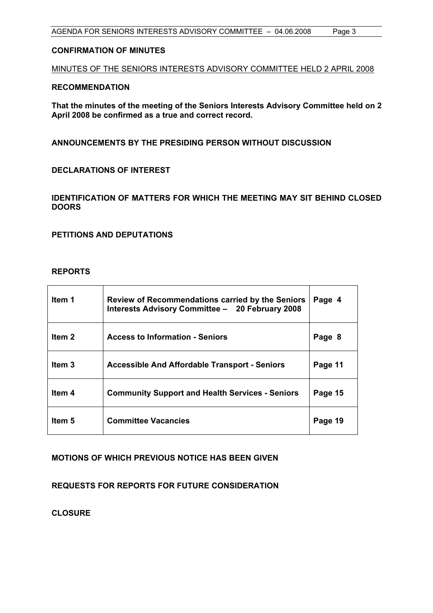#### **CONFIRMATION OF MINUTES**

MINUTES OF THE SENIORS INTERESTS ADVISORY COMMITTEE HELD 2 APRIL 2008

#### **RECOMMENDATION**

**That the minutes of the meeting of the Seniors Interests Advisory Committee held on 2 April 2008 be confirmed as a true and correct record.** 

**ANNOUNCEMENTS BY THE PRESIDING PERSON WITHOUT DISCUSSION** 

**DECLARATIONS OF INTEREST** 

**IDENTIFICATION OF MATTERS FOR WHICH THE MEETING MAY SIT BEHIND CLOSED DOORS** 

**PETITIONS AND DEPUTATIONS** 

#### **REPORTS**

| ltem 1            | Review of Recommendations carried by the Seniors<br>Interests Advisory Committee - 20 February 2008 | Page 4  |
|-------------------|-----------------------------------------------------------------------------------------------------|---------|
| Item 2            | <b>Access to Information - Seniors</b>                                                              | Page 8  |
| Item <sub>3</sub> | <b>Accessible And Affordable Transport - Seniors</b>                                                | Page 11 |
| Item 4            | <b>Community Support and Health Services - Seniors</b>                                              | Page 15 |
| Item 5            | <b>Committee Vacancies</b>                                                                          | Page 19 |

#### **MOTIONS OF WHICH PREVIOUS NOTICE HAS BEEN GIVEN**

**REQUESTS FOR REPORTS FOR FUTURE CONSIDERATION** 

**CLOSURE**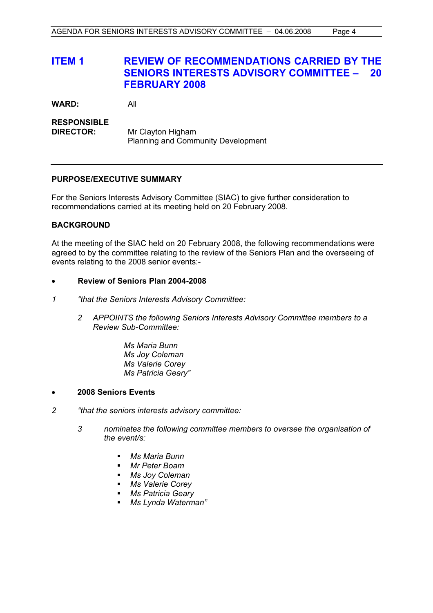## **ITEM 1 REVIEW OF RECOMMENDATIONS CARRIED BY THE SENIORS INTERESTS ADVISORY COMMITTEE – 20 FEBRUARY 2008**

**WARD:** All

**RESPONSIBLE DIRECTOR:** Mr Clayton Higham Planning and Community Development

#### **PURPOSE/EXECUTIVE SUMMARY**

For the Seniors Interests Advisory Committee (SIAC) to give further consideration to recommendations carried at its meeting held on 20 February 2008.

#### **BACKGROUND**

At the meeting of the SIAC held on 20 February 2008, the following recommendations were agreed to by the committee relating to the review of the Seniors Plan and the overseeing of events relating to the 2008 senior events:-

#### • **Review of Seniors Plan 2004-2008**

- *1 "that the Seniors Interests Advisory Committee:* 
	- *2 APPOINTS the following Seniors Interests Advisory Committee members to a Review Sub-Committee:*

 *Ms Maria Bunn Ms Joy Coleman Ms Valerie Corey Ms Patricia Geary"* 

- **2008 Seniors Events**
- *2 "that the seniors interests advisory committee:* 
	- *3 nominates the following committee members to oversee the organisation of the event/s:* 
		- *Ms Maria Bunn*
		- *Mr Peter Boam*
		- *Ms Joy Coleman*
		- *Ms Valerie Corey*
		- *Ms Patricia Geary*
		- *Ms Lynda Waterman"*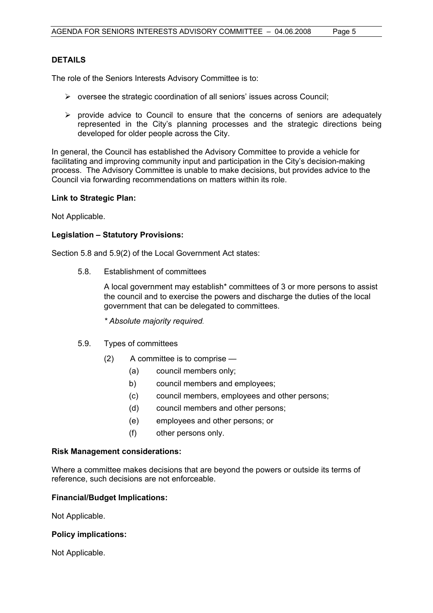#### **DETAILS**

The role of the Seniors Interests Advisory Committee is to:

- $\triangleright$  oversee the strategic coordination of all seniors' issues across Council;
- $\triangleright$  provide advice to Council to ensure that the concerns of seniors are adequately represented in the City's planning processes and the strategic directions being developed for older people across the City.

In general, the Council has established the Advisory Committee to provide a vehicle for facilitating and improving community input and participation in the City's decision-making process. The Advisory Committee is unable to make decisions, but provides advice to the Council via forwarding recommendations on matters within its role.

#### **Link to Strategic Plan:**

Not Applicable.

#### **Legislation – Statutory Provisions:**

Section 5.8 and 5.9(2) of the Local Government Act states:

5.8. Establishment of committees

 A local government may establish\* committees of 3 or more persons to assist the council and to exercise the powers and discharge the duties of the local government that can be delegated to committees.

 *\* Absolute majority required.* 

- 5.9. Types of committees
	- (2) A committee is to comprise
		- (a) council members only;
		- b) council members and employees;
		- (c) council members, employees and other persons;
		- (d) council members and other persons;
		- (e) employees and other persons; or
		- (f) other persons only.

#### **Risk Management considerations:**

Where a committee makes decisions that are beyond the powers or outside its terms of reference, such decisions are not enforceable.

#### **Financial/Budget Implications:**

Not Applicable.

#### **Policy implications:**

Not Applicable.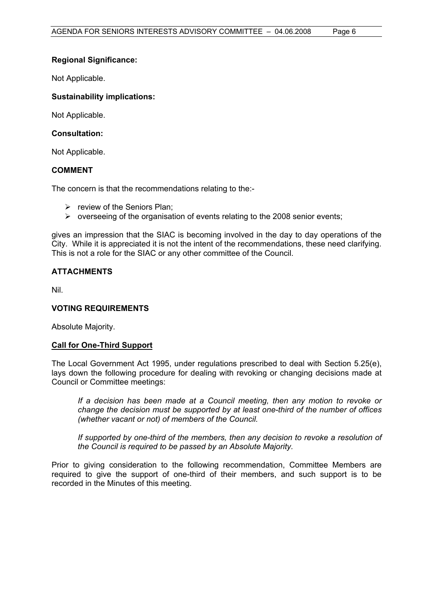#### **Regional Significance:**

Not Applicable.

#### **Sustainability implications:**

Not Applicable.

#### **Consultation:**

Not Applicable.

#### **COMMENT**

The concern is that the recommendations relating to the:-

- $\triangleright$  review of the Seniors Plan;
- $\triangleright$  overseeing of the organisation of events relating to the 2008 senior events;

gives an impression that the SIAC is becoming involved in the day to day operations of the City. While it is appreciated it is not the intent of the recommendations, these need clarifying. This is not a role for the SIAC or any other committee of the Council.

#### **ATTACHMENTS**

Nil.

#### **VOTING REQUIREMENTS**

Absolute Majority.

#### **Call for One-Third Support**

The Local Government Act 1995, under regulations prescribed to deal with Section 5.25(e), lays down the following procedure for dealing with revoking or changing decisions made at Council or Committee meetings:

*If a decision has been made at a Council meeting, then any motion to revoke or change the decision must be supported by at least one-third of the number of offices (whether vacant or not) of members of the Council.* 

If supported by one-third of the members, then any decision to revoke a resolution of *the Council is required to be passed by an Absolute Majority.* 

Prior to giving consideration to the following recommendation, Committee Members are required to give the support of one-third of their members, and such support is to be recorded in the Minutes of this meeting.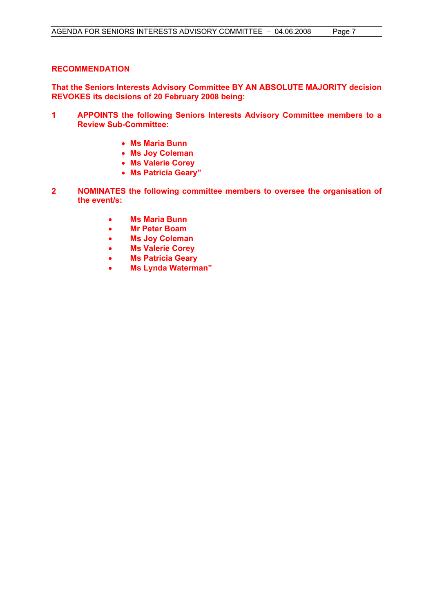#### **RECOMMENDATION**

**That the Seniors Interests Advisory Committee BY AN ABSOLUTE MAJORITY decision REVOKES its decisions of 20 February 2008 being:** 

- **1 APPOINTS the following Seniors Interests Advisory Committee members to a Review Sub-Committee:** 
	- **Ms Maria Bunn**
	- **Ms Joy Coleman**
	- **Ms Valerie Corey**
	- **Ms Patricia Geary"**
- **2 NOMINATES the following committee members to oversee the organisation of the event/s:** 
	- **Ms Maria Bunn**
	- **Mr Peter Boam**
	- **Ms Joy Coleman**
	- **Ms Valerie Corey**
	- **Ms Patricia Geary**
	- **Ms Lynda Waterman"**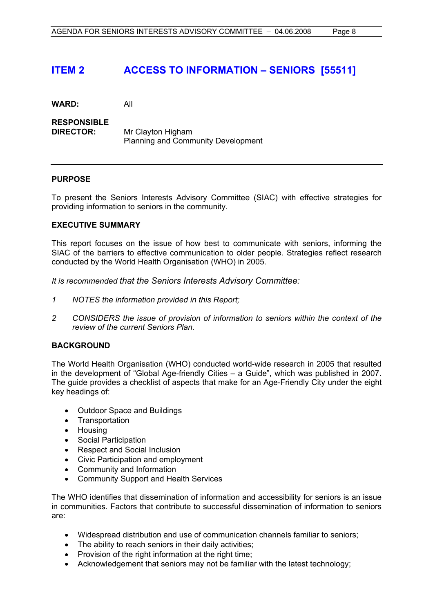## **ITEM 2 ACCESS TO INFORMATION – SENIORS [55511]**

**WARD:** All

**RESPONSIBLE DIRECTOR:** Mr Clayton Higham Planning and Community Development

#### **PURPOSE**

To present the Seniors Interests Advisory Committee (SIAC) with effective strategies for providing information to seniors in the community.

#### **EXECUTIVE SUMMARY**

This report focuses on the issue of how best to communicate with seniors, informing the SIAC of the barriers to effective communication to older people. Strategies reflect research conducted by the World Health Organisation (WHO) in 2005.

*It is recommended that the Seniors Interests Advisory Committee:*

- *1 NOTES the information provided in this Report;*
- *2 CONSIDERS the issue of provision of information to seniors within the context of the review of the current Seniors Plan.*

#### **BACKGROUND**

The World Health Organisation (WHO) conducted world-wide research in 2005 that resulted in the development of "Global Age-friendly Cities – a Guide", which was published in 2007. The guide provides a checklist of aspects that make for an Age-Friendly City under the eight key headings of:

- Outdoor Space and Buildings
- Transportation
- Housing
- Social Participation
- Respect and Social Inclusion
- Civic Participation and employment
- Community and Information
- Community Support and Health Services

The WHO identifies that dissemination of information and accessibility for seniors is an issue in communities. Factors that contribute to successful dissemination of information to seniors are:

- Widespread distribution and use of communication channels familiar to seniors;
- The ability to reach seniors in their daily activities;
- Provision of the right information at the right time;
- Acknowledgement that seniors may not be familiar with the latest technology;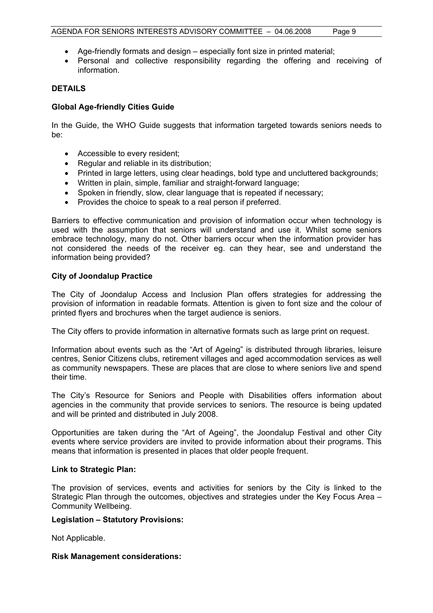- Age-friendly formats and design especially font size in printed material;
- Personal and collective responsibility regarding the offering and receiving of information.

#### **DETAILS**

#### **Global Age-friendly Cities Guide**

In the Guide, the WHO Guide suggests that information targeted towards seniors needs to be:

- Accessible to every resident;
- Regular and reliable in its distribution;
- Printed in large letters, using clear headings, bold type and uncluttered backgrounds;
- Written in plain, simple, familiar and straight-forward language;
- Spoken in friendly, slow, clear language that is repeated if necessary;
- Provides the choice to speak to a real person if preferred.

Barriers to effective communication and provision of information occur when technology is used with the assumption that seniors will understand and use it. Whilst some seniors embrace technology, many do not. Other barriers occur when the information provider has not considered the needs of the receiver eg. can they hear, see and understand the information being provided?

#### **City of Joondalup Practice**

The City of Joondalup Access and Inclusion Plan offers strategies for addressing the provision of information in readable formats. Attention is given to font size and the colour of printed flyers and brochures when the target audience is seniors.

The City offers to provide information in alternative formats such as large print on request.

Information about events such as the "Art of Ageing" is distributed through libraries, leisure centres, Senior Citizens clubs, retirement villages and aged accommodation services as well as community newspapers. These are places that are close to where seniors live and spend their time.

The City's Resource for Seniors and People with Disabilities offers information about agencies in the community that provide services to seniors. The resource is being updated and will be printed and distributed in July 2008.

Opportunities are taken during the "Art of Ageing", the Joondalup Festival and other City events where service providers are invited to provide information about their programs. This means that information is presented in places that older people frequent.

#### **Link to Strategic Plan:**

The provision of services, events and activities for seniors by the City is linked to the Strategic Plan through the outcomes, objectives and strategies under the Key Focus Area – Community Wellbeing.

#### **Legislation – Statutory Provisions:**

Not Applicable.

#### **Risk Management considerations:**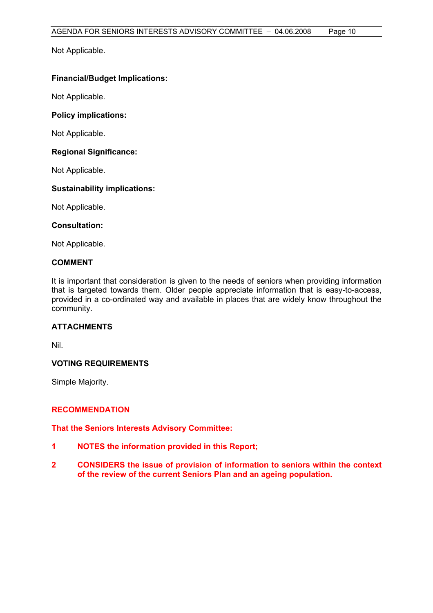Not Applicable.

#### **Financial/Budget Implications:**

Not Applicable.

#### **Policy implications:**

Not Applicable.

#### **Regional Significance:**

Not Applicable.

#### **Sustainability implications:**

Not Applicable.

#### **Consultation:**

Not Applicable.

#### **COMMENT**

It is important that consideration is given to the needs of seniors when providing information that is targeted towards them. Older people appreciate information that is easy-to-access, provided in a co-ordinated way and available in places that are widely know throughout the community.

#### **ATTACHMENTS**

Nil.

#### **VOTING REQUIREMENTS**

Simple Majority.

#### **RECOMMENDATION**

**That the Seniors Interests Advisory Committee:**

- **1 NOTES the information provided in this Report;**
- **2 CONSIDERS the issue of provision of information to seniors within the context of the review of the current Seniors Plan and an ageing population.**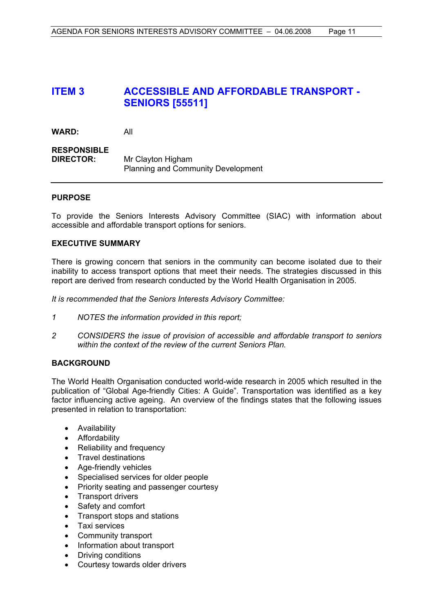## **ITEM 3 ACCESSIBLE AND AFFORDABLE TRANSPORT - SENIORS [55511]**

| WARD:                                  | All                                       |
|----------------------------------------|-------------------------------------------|
| <b>RESPONSIBLE</b><br><b>DIRECTOR:</b> | Mr Clayton Higham                         |
|                                        | <b>Planning and Community Development</b> |

#### **PURPOSE**

To provide the Seniors Interests Advisory Committee (SIAC) with information about accessible and affordable transport options for seniors.

#### **EXECUTIVE SUMMARY**

There is growing concern that seniors in the community can become isolated due to their inability to access transport options that meet their needs. The strategies discussed in this report are derived from research conducted by the World Health Organisation in 2005.

*It is recommended that the Seniors Interests Advisory Committee:* 

- *1 NOTES the information provided in this report;*
- *2 CONSIDERS the issue of provision of accessible and affordable transport to seniors within the context of the review of the current Seniors Plan.*

#### **BACKGROUND**

The World Health Organisation conducted world-wide research in 2005 which resulted in the publication of "Global Age-friendly Cities: A Guide". Transportation was identified as a key factor influencing active ageing. An overview of the findings states that the following issues presented in relation to transportation:

- Availability
- Affordability
- Reliability and frequency
- Travel destinations
- Age-friendly vehicles
- Specialised services for older people
- Priority seating and passenger courtesy
- Transport drivers
- Safety and comfort
- Transport stops and stations
- Taxi services
- Community transport
- Information about transport
- Driving conditions
- Courtesy towards older drivers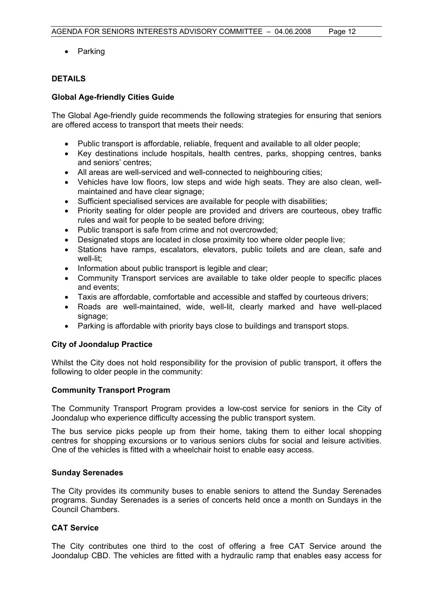• Parking

#### **DETAILS**

#### **Global Age-friendly Cities Guide**

The Global Age-friendly guide recommends the following strategies for ensuring that seniors are offered access to transport that meets their needs:

- Public transport is affordable, reliable, frequent and available to all older people;
- Key destinations include hospitals, health centres, parks, shopping centres, banks and seniors' centres;
- All areas are well-serviced and well-connected to neighbouring cities;
- Vehicles have low floors, low steps and wide high seats. They are also clean, wellmaintained and have clear signage;
- Sufficient specialised services are available for people with disabilities;
- Priority seating for older people are provided and drivers are courteous, obey traffic rules and wait for people to be seated before driving;
- Public transport is safe from crime and not overcrowded;
- Designated stops are located in close proximity too where older people live;
- Stations have ramps, escalators, elevators, public toilets and are clean, safe and well-lit;
- Information about public transport is legible and clear;
- Community Transport services are available to take older people to specific places and events;
- Taxis are affordable, comfortable and accessible and staffed by courteous drivers;
- Roads are well-maintained, wide, well-lit, clearly marked and have well-placed signage:
- Parking is affordable with priority bays close to buildings and transport stops.

#### **City of Joondalup Practice**

Whilst the City does not hold responsibility for the provision of public transport, it offers the following to older people in the community:

#### **Community Transport Program**

The Community Transport Program provides a low-cost service for seniors in the City of Joondalup who experience difficulty accessing the public transport system.

The bus service picks people up from their home, taking them to either local shopping centres for shopping excursions or to various seniors clubs for social and leisure activities. One of the vehicles is fitted with a wheelchair hoist to enable easy access.

#### **Sunday Serenades**

The City provides its community buses to enable seniors to attend the Sunday Serenades programs. Sunday Serenades is a series of concerts held once a month on Sundays in the Council Chambers.

#### **CAT Service**

The City contributes one third to the cost of offering a free CAT Service around the Joondalup CBD. The vehicles are fitted with a hydraulic ramp that enables easy access for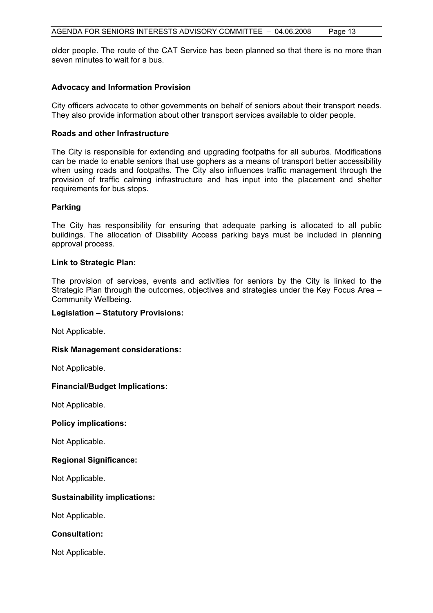older people. The route of the CAT Service has been planned so that there is no more than seven minutes to wait for a bus.

#### **Advocacy and Information Provision**

City officers advocate to other governments on behalf of seniors about their transport needs. They also provide information about other transport services available to older people.

#### **Roads and other Infrastructure**

The City is responsible for extending and upgrading footpaths for all suburbs. Modifications can be made to enable seniors that use gophers as a means of transport better accessibility when using roads and footpaths. The City also influences traffic management through the provision of traffic calming infrastructure and has input into the placement and shelter requirements for bus stops.

#### **Parking**

The City has responsibility for ensuring that adequate parking is allocated to all public buildings. The allocation of Disability Access parking bays must be included in planning approval process.

#### **Link to Strategic Plan:**

The provision of services, events and activities for seniors by the City is linked to the Strategic Plan through the outcomes, objectives and strategies under the Key Focus Area – Community Wellbeing.

#### **Legislation – Statutory Provisions:**

Not Applicable.

#### **Risk Management considerations:**

Not Applicable.

#### **Financial/Budget Implications:**

Not Applicable.

#### **Policy implications:**

Not Applicable.

#### **Regional Significance:**

Not Applicable.

#### **Sustainability implications:**

Not Applicable.

**Consultation:** 

Not Applicable.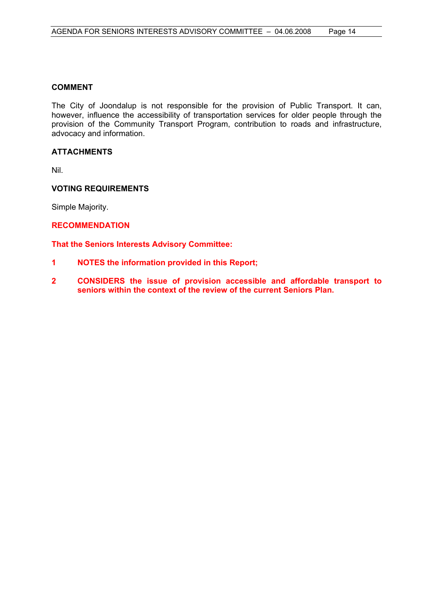#### **COMMENT**

The City of Joondalup is not responsible for the provision of Public Transport. It can, however, influence the accessibility of transportation services for older people through the provision of the Community Transport Program, contribution to roads and infrastructure, advocacy and information.

#### **ATTACHMENTS**

Nil.

#### **VOTING REQUIREMENTS**

Simple Majority.

#### **RECOMMENDATION**

**That the Seniors Interests Advisory Committee:** 

- **1 NOTES the information provided in this Report;**
- **2 CONSIDERS the issue of provision accessible and affordable transport to seniors within the context of the review of the current Seniors Plan.**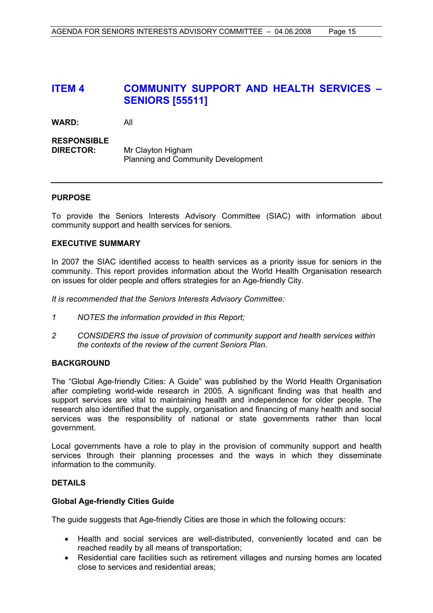## **ITEM 4 COMMUNITY SUPPORT AND HEALTH SERVICES – SENIORS [55511]**

**WARD:** All

#### **RESPONSIBLE DIRECTOR:** Mr Clayton Higham Planning and Community Development

#### **PURPOSE**

To provide the Seniors Interests Advisory Committee (SIAC) with information about community support and health services for seniors.

#### **EXECUTIVE SUMMARY**

In 2007 the SIAC identified access to health services as a priority issue for seniors in the community. This report provides information about the World Health Organisation research on issues for older people and offers strategies for an Age-friendly City.

*It is recommended that the Seniors Interests Advisory Committee:*

- *1 NOTES the information provided in this Report;*
- *2 CONSIDERS the issue of provision of community support and health services within the contexts of the review of the current Seniors Plan.*

#### **BACKGROUND**

The "Global Age-friendly Cities: A Guide" was published by the World Health Organisation after completing world-wide research in 2005. A significant finding was that health and support services are vital to maintaining health and independence for older people. The research also identified that the supply, organisation and financing of many health and social services was the responsibility of national or state governments rather than local government.

Local governments have a role to play in the provision of community support and health services through their planning processes and the ways in which they disseminate information to the community.

#### **DETAILS**

#### **Global Age-friendly Cities Guide**

The guide suggests that Age-friendly Cities are those in which the following occurs:

- Health and social services are well-distributed, conveniently located and can be reached readily by all means of transportation;
- Residential care facilities such as retirement villages and nursing homes are located close to services and residential areas;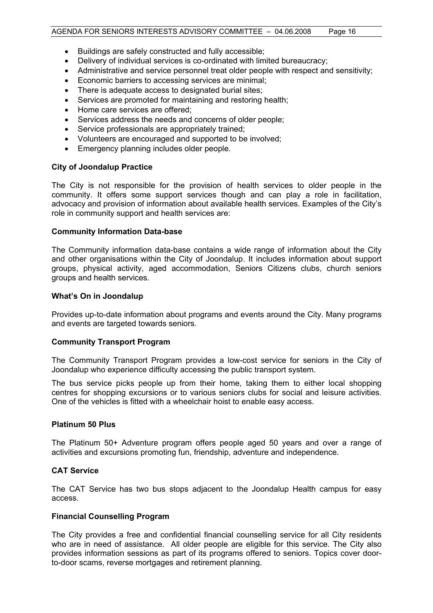- Buildings are safely constructed and fully accessible;
- Delivery of individual services is co-ordinated with limited bureaucracy;
- Administrative and service personnel treat older people with respect and sensitivity;
- Economic barriers to accessing services are minimal;
- There is adequate access to designated burial sites;
- Services are promoted for maintaining and restoring health;
- Home care services are offered;
- Services address the needs and concerns of older people;
- Service professionals are appropriately trained;
- Volunteers are encouraged and supported to be involved;
- Emergency planning includes older people.

#### **City of Joondalup Practice**

The City is not responsible for the provision of health services to older people in the community. It offers some support services though and can play a role in facilitation, advocacy and provision of information about available health services. Examples of the City's role in community support and health services are:

#### **Community Information Data-base**

The Community information data-base contains a wide range of information about the City and other organisations within the City of Joondalup. It includes information about support groups, physical activity, aged accommodation, Seniors Citizens clubs, church seniors groups and health services.

#### **What's On in Joondalup**

Provides up-to-date information about programs and events around the City. Many programs and events are targeted towards seniors.

#### **Community Transport Program**

The Community Transport Program provides a low-cost service for seniors in the City of Joondalup who experience difficulty accessing the public transport system.

The bus service picks people up from their home, taking them to either local shopping centres for shopping excursions or to various seniors clubs for social and leisure activities. One of the vehicles is fitted with a wheelchair hoist to enable easy access.

#### **Platinum 50 Plus**

The Platinum 50+ Adventure program offers people aged 50 years and over a range of activities and excursions promoting fun, friendship, adventure and independence.

#### **CAT Service**

The CAT Service has two bus stops adjacent to the Joondalup Health campus for easy access.

#### **Financial Counselling Program**

The City provides a free and confidential financial counselling service for all City residents who are in need of assistance. All older people are eligible for this service. The City also provides information sessions as part of its programs offered to seniors. Topics cover doorto-door scams, reverse mortgages and retirement planning.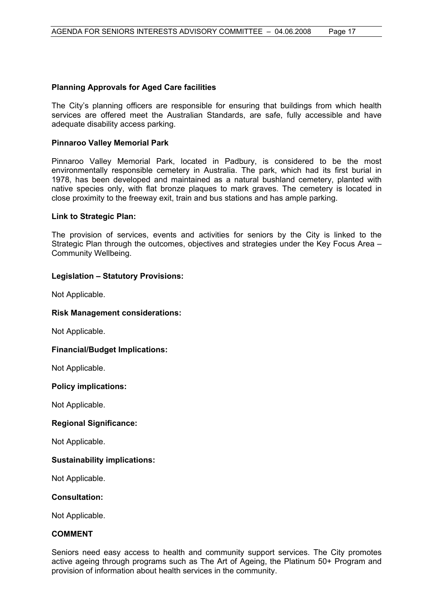#### **Planning Approvals for Aged Care facilities**

The City's planning officers are responsible for ensuring that buildings from which health services are offered meet the Australian Standards, are safe, fully accessible and have adequate disability access parking.

#### **Pinnaroo Valley Memorial Park**

Pinnaroo Valley Memorial Park, located in Padbury, is considered to be the most environmentally responsible cemetery in Australia. The park, which had its first burial in 1978, has been developed and maintained as a natural bushland cemetery, planted with native species only, with flat bronze plaques to mark graves. The cemetery is located in close proximity to the freeway exit, train and bus stations and has ample parking.

#### **Link to Strategic Plan:**

The provision of services, events and activities for seniors by the City is linked to the Strategic Plan through the outcomes, objectives and strategies under the Key Focus Area – Community Wellbeing.

#### **Legislation – Statutory Provisions:**

Not Applicable.

#### **Risk Management considerations:**

Not Applicable.

#### **Financial/Budget Implications:**

Not Applicable.

#### **Policy implications:**

Not Applicable.

#### **Regional Significance:**

Not Applicable.

#### **Sustainability implications:**

Not Applicable.

#### **Consultation:**

Not Applicable.

#### **COMMENT**

Seniors need easy access to health and community support services. The City promotes active ageing through programs such as The Art of Ageing, the Platinum 50+ Program and provision of information about health services in the community.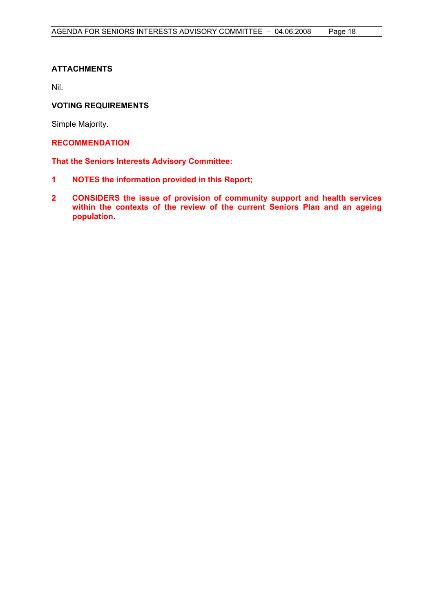#### **ATTACHMENTS**

Nil.

#### **VOTING REQUIREMENTS**

Simple Majority.

#### **RECOMMENDATION**

**That the Seniors Interests Advisory Committee:**

- **1 NOTES the information provided in this Report;**
- **2 CONSIDERS the issue of provision of community support and health services within the contexts of the review of the current Seniors Plan and an ageing population.**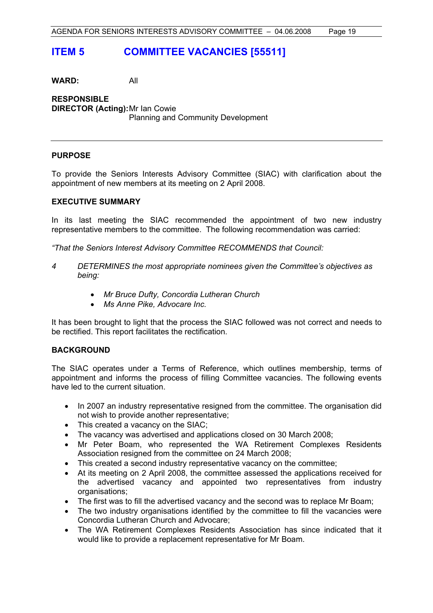## **ITEM 5 COMMITTEE VACANCIES [55511]**

**WARD:** All

**RESPONSIBLE DIRECTOR (Acting):** Mr Ian Cowie Planning and Community Development

#### **PURPOSE**

To provide the Seniors Interests Advisory Committee (SIAC) with clarification about the appointment of new members at its meeting on 2 April 2008.

#### **EXECUTIVE SUMMARY**

In its last meeting the SIAC recommended the appointment of two new industry representative members to the committee. The following recommendation was carried:

*"That the Seniors Interest Advisory Committee RECOMMENDS that Council:* 

- *4 DETERMINES the most appropriate nominees given the Committee's objectives as being:* 
	- *Mr Bruce Dufty, Concordia Lutheran Church*
	- *Ms Anne Pike, Advocare Inc.*

It has been brought to light that the process the SIAC followed was not correct and needs to be rectified. This report facilitates the rectification.

#### **BACKGROUND**

The SIAC operates under a Terms of Reference, which outlines membership, terms of appointment and informs the process of filling Committee vacancies. The following events have led to the current situation.

- In 2007 an industry representative resigned from the committee. The organisation did not wish to provide another representative;
- This created a vacancy on the SIAC;
- The vacancy was advertised and applications closed on 30 March 2008;
- Mr Peter Boam, who represented the WA Retirement Complexes Residents Association resigned from the committee on 24 March 2008;
- This created a second industry representative vacancy on the committee;
- At its meeting on 2 April 2008, the committee assessed the applications received for the advertised vacancy and appointed two representatives from industry organisations;
- The first was to fill the advertised vacancy and the second was to replace Mr Boam;
- The two industry organisations identified by the committee to fill the vacancies were Concordia Lutheran Church and Advocare;
- The WA Retirement Complexes Residents Association has since indicated that it would like to provide a replacement representative for Mr Boam.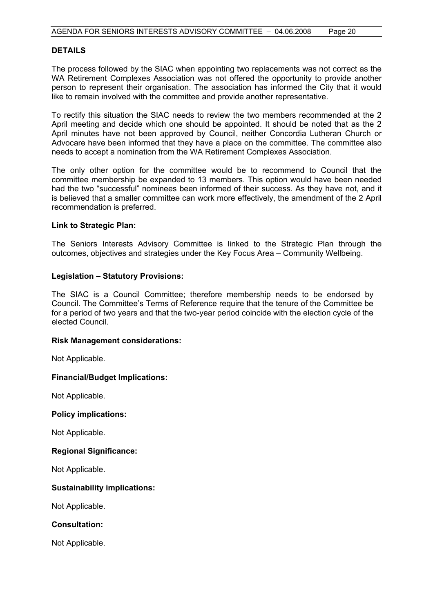#### **DETAILS**

The process followed by the SIAC when appointing two replacements was not correct as the WA Retirement Complexes Association was not offered the opportunity to provide another person to represent their organisation. The association has informed the City that it would like to remain involved with the committee and provide another representative.

To rectify this situation the SIAC needs to review the two members recommended at the 2 April meeting and decide which one should be appointed. It should be noted that as the 2 April minutes have not been approved by Council, neither Concordia Lutheran Church or Advocare have been informed that they have a place on the committee. The committee also needs to accept a nomination from the WA Retirement Complexes Association.

The only other option for the committee would be to recommend to Council that the committee membership be expanded to 13 members. This option would have been needed had the two "successful" nominees been informed of their success. As they have not, and it is believed that a smaller committee can work more effectively, the amendment of the 2 April recommendation is preferred.

#### **Link to Strategic Plan:**

The Seniors Interests Advisory Committee is linked to the Strategic Plan through the outcomes, objectives and strategies under the Key Focus Area – Community Wellbeing.

#### **Legislation – Statutory Provisions:**

The SIAC is a Council Committee; therefore membership needs to be endorsed by Council. The Committee's Terms of Reference require that the tenure of the Committee be for a period of two years and that the two-year period coincide with the election cycle of the elected Council.

#### **Risk Management considerations:**

Not Applicable.

#### **Financial/Budget Implications:**

Not Applicable.

#### **Policy implications:**

Not Applicable.

#### **Regional Significance:**

Not Applicable.

#### **Sustainability implications:**

Not Applicable.

#### **Consultation:**

Not Applicable.